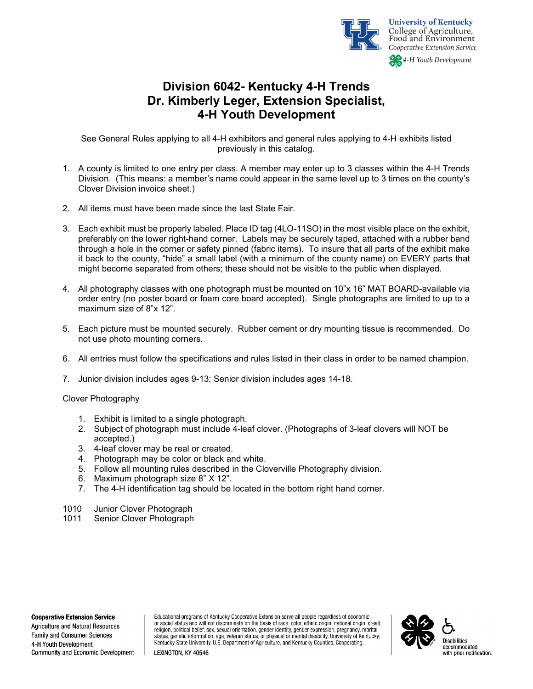

# **Division 6042- Kentucky 4-H Trends Dr. Kimberly Leger, Extension Specialist, 4-H Youth Development**

See General Rules applying to all 4-H exhibitors and general rules applying to 4-H exhibits listed previously in this catalog.

- 1. A county is limited to one entry per class. A member may enter up to 3 classes within the 4-H Trends Division. (This means: a member's name could appear in the same level up to 3 times on the county's Clover Division invoice sheet.)
- 2. All items must have been made since the last State Fair.
- 3. Each exhibit must be properly labeled. Place ID tag (4LO-11SO) in the most visible place on the exhibit, preferably on the lower right-hand corner. Labels may be securely taped, attached with a rubber band through a hole in the corner or safety pinned (fabric items). To insure that all parts of the exhibit make it back to the county, "hide" a small label (with a minimum of the county name) on EVERY parts that might become separated from others; these should not be visible to the public when displayed.
- 4. All photography classes with one photograph must be mounted on 10"x 16" MAT BOARD-available via order entry (no poster board or foam core board accepted). Single photographs are limited to up to a maximum size of 8"x 12".
- 5. Each picture must be mounted securely. Rubber cement or dry mounting tissue is recommended. Do not use photo mounting corners.
- 6. All entries must follow the specifications and rules listed in their class in order to be named champion.
- 7. Junior division includes ages 9-13; Senior division includes ages 14-18.

### Clover Photography

- 1. Exhibit is limited to a single photograph.
- 2. Subject of photograph must include 4-leaf clover. (Photographs of 3-leaf clovers will NOT be accepted.)
- 3. 4-leaf clover may be real or created.
- 4. Photograph may be color or black and white.
- 5. Follow all mounting rules described in the Cloverville Photography division.
- 6. Maximum photograph size 8" X 12".
- 7. The 4-H identification tag should be located in the bottom right hand corner.
- 1010 Junior Clover Photograph
- 1011 Senior Clover Photograph

**Cooperative Extension Service** 

Agriculture and Natural Resources Family and Consumer Sciences 4-H Youth Development Community and Economic Development Educational programs of Kentucky Cooperative Extension serve all people regardless of economic or social status and will not discriminate on the basis of race, color, ethnic origin, national origin, creed, religion, political belief, sex, sexual orientation, gender identity, gender expression, pregnancy, marital status, genetic information, age, veteran status, or physical or mental disability. University of Kentucky, Kentucky State University, U.S. Department of Agriculture, and Kentucky Counties, Cooperating.